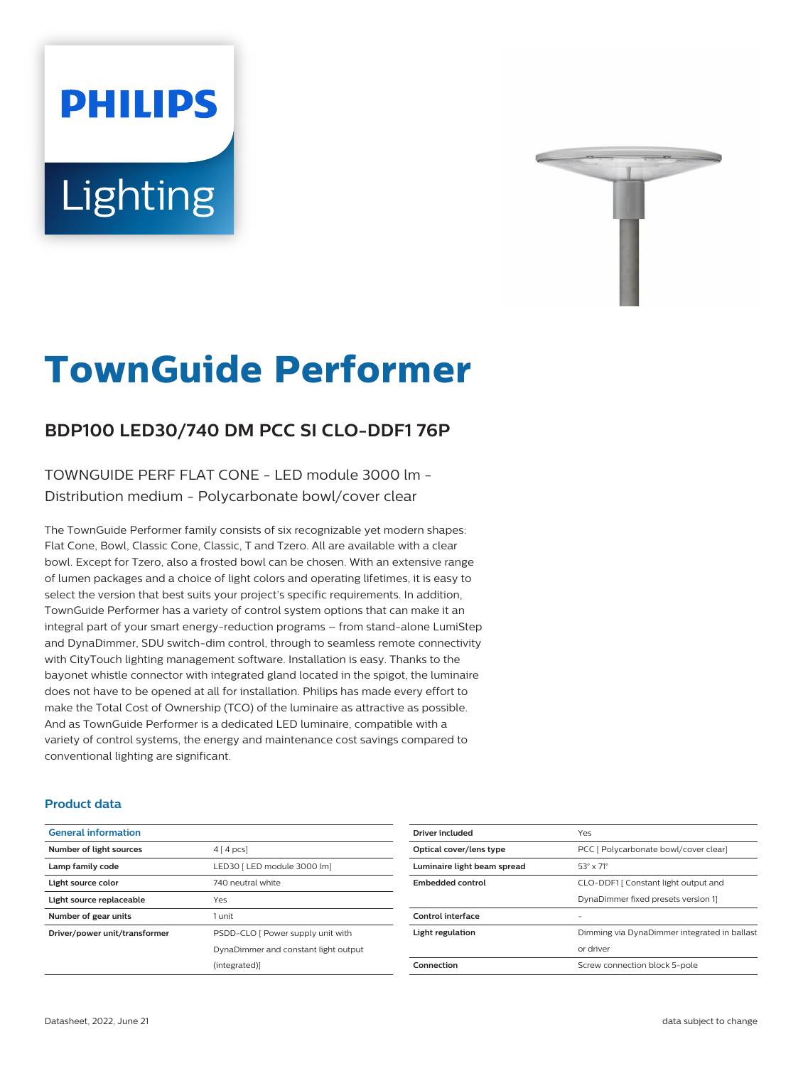# **Lighting**

**PHILIPS** 



# **TownGuide Performer**

# **BDP100 LED30/740 DM PCC SI CLO-DDF1 76P**

TOWNGUIDE PERF FLAT CONE - LED module 3000 lm - Distribution medium - Polycarbonate bowl/cover clear

The TownGuide Performer family consists of six recognizable yet modern shapes: Flat Cone, Bowl, Classic Cone, Classic, T and Tzero. All are available with a clear bowl. Except for Tzero, also a frosted bowl can be chosen. With an extensive range of lumen packages and a choice of light colors and operating lifetimes, it is easy to select the version that best suits your project's specific requirements. In addition, TownGuide Performer has a variety of control system options that can make it an integral part of your smart energy-reduction programs – from stand-alone LumiStep and DynaDimmer, SDU switch-dim control, through to seamless remote connectivity with CityTouch lighting management software. Installation is easy. Thanks to the bayonet whistle connector with integrated gland located in the spigot, the luminaire does not have to be opened at all for installation. Philips has made every effort to make the Total Cost of Ownership (TCO) of the luminaire as attractive as possible. And as TownGuide Performer is a dedicated LED luminaire, compatible with a variety of control systems, the energy and maintenance cost savings compared to conventional lighting are significant.

#### **Product data**

| <b>General information</b>    |                                      |
|-------------------------------|--------------------------------------|
| Number of light sources       | $4 \mid 4 \mid pcs$                  |
| Lamp family code              | LED30   LED module 3000 lm]          |
| Light source color            | 740 neutral white                    |
| Light source replaceable      | Yes                                  |
| Number of gear units          | 1 unit                               |
| Driver/power unit/transformer | PSDD-CLO [ Power supply unit with    |
|                               | DynaDimmer and constant light output |
|                               | (integrated)]                        |

| Driver included             | Yes                                          |
|-----------------------------|----------------------------------------------|
| Optical cover/lens type     | PCC I Polycarbonate bowl/cover clearl        |
| Luminaire light beam spread | $53^\circ \times 71^\circ$                   |
| <b>Embedded control</b>     | CLO-DDF1 [ Constant light output and         |
|                             | DynaDimmer fixed presets version 1]          |
| Control interface           |                                              |
| Light regulation            | Dimming via DynaDimmer integrated in ballast |
|                             | or driver                                    |
| Connection                  | Screw connection block 5-pole                |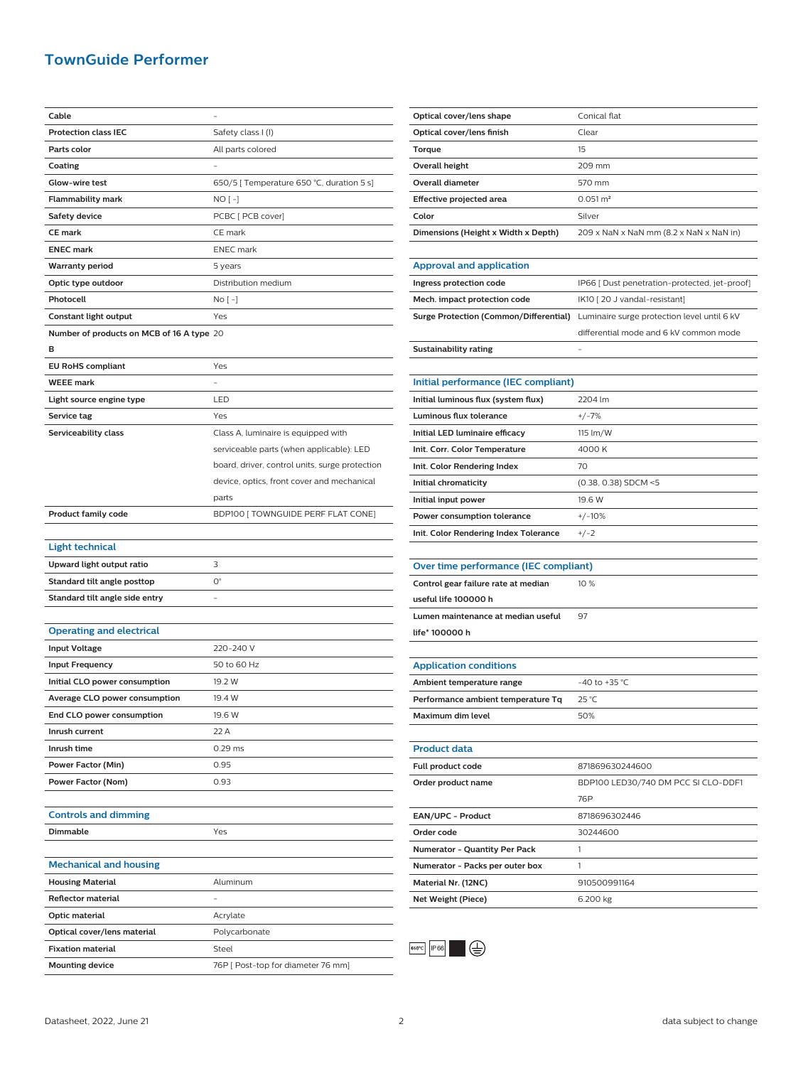## **TownGuide Performer**

| Cable                                     |                                                |
|-------------------------------------------|------------------------------------------------|
| <b>Protection class IEC</b>               | Safety class I (I)                             |
| Parts color                               | All parts colored                              |
| Coating                                   |                                                |
| Glow-wire test                            | 650/5 [ Temperature 650 °C, duration 5 s]      |
| <b>Flammability mark</b>                  | $NO[-]$                                        |
| <b>Safety device</b>                      | PCBC [ PCB cover]                              |
| <b>CE mark</b>                            | CE mark                                        |
| <b>ENEC mark</b>                          | <b>ENEC</b> mark                               |
| <b>Warranty period</b>                    | 5 years                                        |
| Optic type outdoor                        | Distribution medium                            |
| Photocell                                 | No [ -]                                        |
| Constant light output                     | Yes                                            |
| Number of products on MCB of 16 A type 20 |                                                |
| в                                         |                                                |
| <b>EU RoHS compliant</b>                  | Yes                                            |
| <b>WEEE</b> mark                          |                                                |
| Light source engine type                  | LED                                            |
| Service tag                               | Yes                                            |
| Serviceability class                      | Class A, luminaire is equipped with            |
|                                           | serviceable parts (when applicable): LED       |
|                                           | board, driver, control units, surge protection |
|                                           | device, optics, front cover and mechanical     |
|                                           | parts                                          |
| <b>Product family code</b>                | BDP100 [ TOWNGUIDE PERF FLAT CONE]             |
|                                           |                                                |
| <b>Light technical</b>                    |                                                |
| Upward light output ratio                 | 3                                              |
| Standard tilt angle posttop               | $O^{\circ}$                                    |
| Standard tilt angle side entry            |                                                |
|                                           |                                                |
| <b>Operating and electrical</b>           |                                                |
| <b>Input Voltage</b>                      | 220-240 V                                      |
| <b>Input Frequency</b>                    | 50 to 60 Hz                                    |
| Initial CLO power consumption             | 19.2 W                                         |
| Average CLO power consumption             | 19.4 W                                         |
| End CLO power consumption                 | 19.6 W                                         |
| Inrush current                            | 22 A                                           |
| Inrush time                               | 0.29 ms                                        |
| Power Factor (Min)                        | 0.95                                           |
| Power Factor (Nom)                        | 0.93                                           |
|                                           |                                                |
| <b>Controls and dimming</b>               |                                                |
| Dimmable                                  | Yes                                            |
|                                           |                                                |
| <b>Mechanical and housing</b>             |                                                |
| <b>Housing Material</b>                   | Aluminum                                       |
| <b>Reflector material</b>                 |                                                |
| Optic material                            | Acrylate                                       |
| Optical cover/lens material               | Polycarbonate                                  |
| <b>Fixation material</b>                  | Steel                                          |
|                                           |                                                |
| <b>Mounting device</b>                    | 76P [ Post-top for diameter 76 mm]             |

| 209 x NaN x NaN mm (8.2 x NaN x NaN in)       |
|-----------------------------------------------|
|                                               |
|                                               |
| IP66 [ Dust penetration-protected, jet-proof] |
|                                               |
| Luminaire surge protection level until 6 kV   |
| differential mode and 6 kV common mode        |
|                                               |
|                                               |
|                                               |
|                                               |
|                                               |
|                                               |
|                                               |
|                                               |
|                                               |
|                                               |
|                                               |
|                                               |
|                                               |
|                                               |
|                                               |
|                                               |
|                                               |
|                                               |
|                                               |
|                                               |
|                                               |
|                                               |
|                                               |
|                                               |
|                                               |
|                                               |
| BDP100 LED30/740 DM PCC SI CLO-DDF1           |
|                                               |
|                                               |
|                                               |
|                                               |
|                                               |
|                                               |
|                                               |
|                                               |

**Optical cover/lens shape** Conical flat